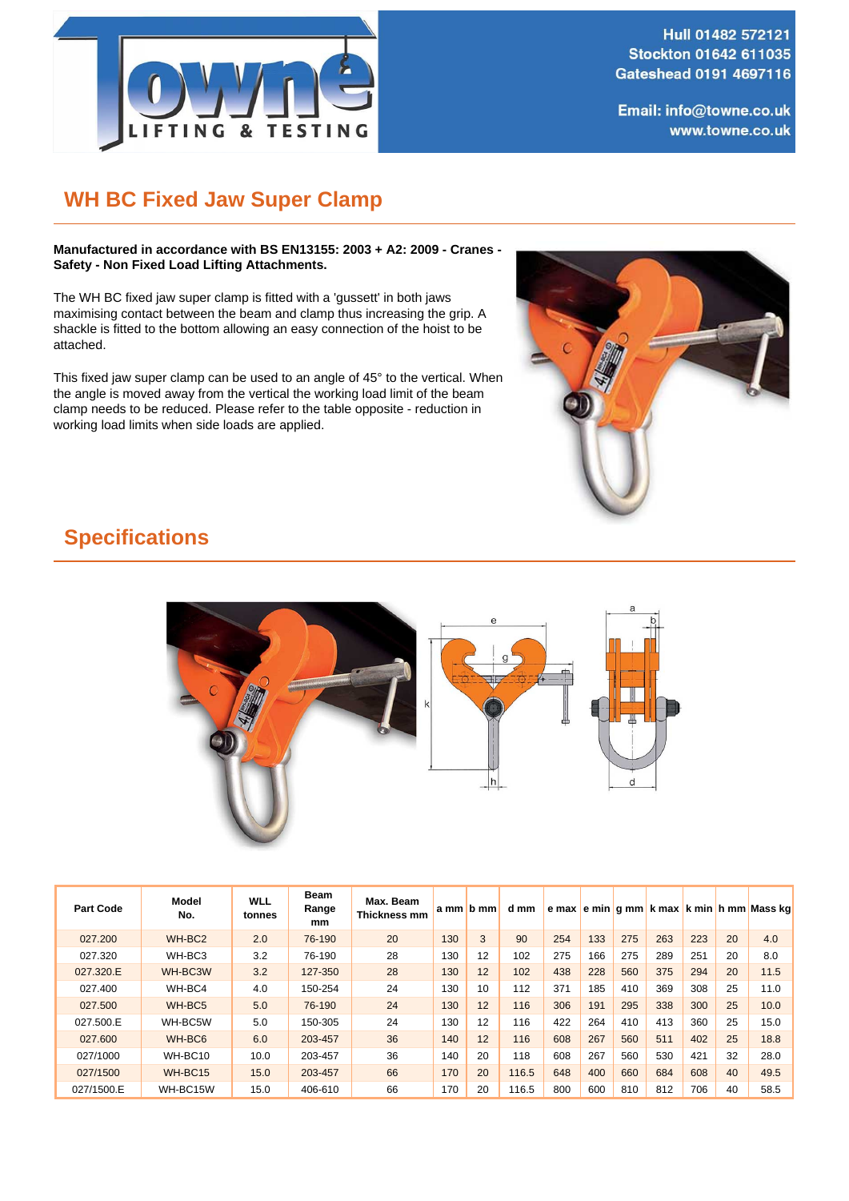

Hull 01482 572121 Stockton 01642 611035 Gateshead 0191 4697116

Email: info@towne.co.uk www.towne.co.uk

## **WH BC Fixed Jaw Super Clamp**

**Manufactured in accordance with BS EN13155: 2003 + A2: 2009 - Cranes - Safety - Non Fixed Load Lifting Attachments.**

The WH BC fixed jaw super clamp is fitted with a 'gussett' in both jaws maximising contact between the beam and clamp thus increasing the grip. A shackle is fitted to the bottom allowing an easy connection of the hoist to be attached.

This fixed jaw super clamp can be used to an angle of 45° to the vertical. When the angle is moved away from the vertical the working load limit of the beam clamp needs to be reduced. Please refer to the table opposite - reduction in working load limits when side loads are applied.



## **Specifications**



| <b>Part Code</b> | Model<br>No.       | <b>WLL</b><br>tonnes | <b>Beam</b><br>Range<br>mm | Max. Beam<br>Thickness mm |     | $am/b$ mm | d mm  |     |     |     |     |     |    | e max e min g mm k max k min h mm Mass kg |
|------------------|--------------------|----------------------|----------------------------|---------------------------|-----|-----------|-------|-----|-----|-----|-----|-----|----|-------------------------------------------|
| 027,200          | WH-BC <sub>2</sub> | 2.0                  | 76-190                     | 20                        | 130 | 3         | 90    | 254 | 133 | 275 | 263 | 223 | 20 | 4.0                                       |
| 027.320          | WH-BC3             | 3.2                  | 76-190                     | 28                        | 130 | 12        | 102   | 275 | 166 | 275 | 289 | 251 | 20 | 8.0                                       |
| 027.320.E        | WH-BC3W            | 3.2                  | 127-350                    | 28                        | 130 | 12        | 102   | 438 | 228 | 560 | 375 | 294 | 20 | 11.5                                      |
| 027.400          | WH-BC4             | 4.0                  | 150-254                    | 24                        | 130 | 10        | 112   | 371 | 185 | 410 | 369 | 308 | 25 | 11.0                                      |
| 027,500          | WH-BC <sub>5</sub> | 5.0                  | 76-190                     | 24                        | 130 | 12        | 116   | 306 | 191 | 295 | 338 | 300 | 25 | 10.0                                      |
| 027.500.E        | WH-BC5W            | 5.0                  | 150-305                    | 24                        | 130 | 12        | 116   | 422 | 264 | 410 | 413 | 360 | 25 | 15.0                                      |
| 027,600          | WH-BC6             | 6.0                  | 203-457                    | 36                        | 140 | 12        | 116   | 608 | 267 | 560 | 511 | 402 | 25 | 18.8                                      |
| 027/1000         | WH-BC10            | 10.0                 | 203-457                    | 36                        | 140 | 20        | 118   | 608 | 267 | 560 | 530 | 421 | 32 | 28.0                                      |
| 027/1500         | WH-BC15            | 15.0                 | 203-457                    | 66                        | 170 | 20        | 116.5 | 648 | 400 | 660 | 684 | 608 | 40 | 49.5                                      |
| 027/1500.E       | WH-BC15W           | 15.0                 | 406-610                    | 66                        | 170 | 20        | 116.5 | 800 | 600 | 810 | 812 | 706 | 40 | 58.5                                      |